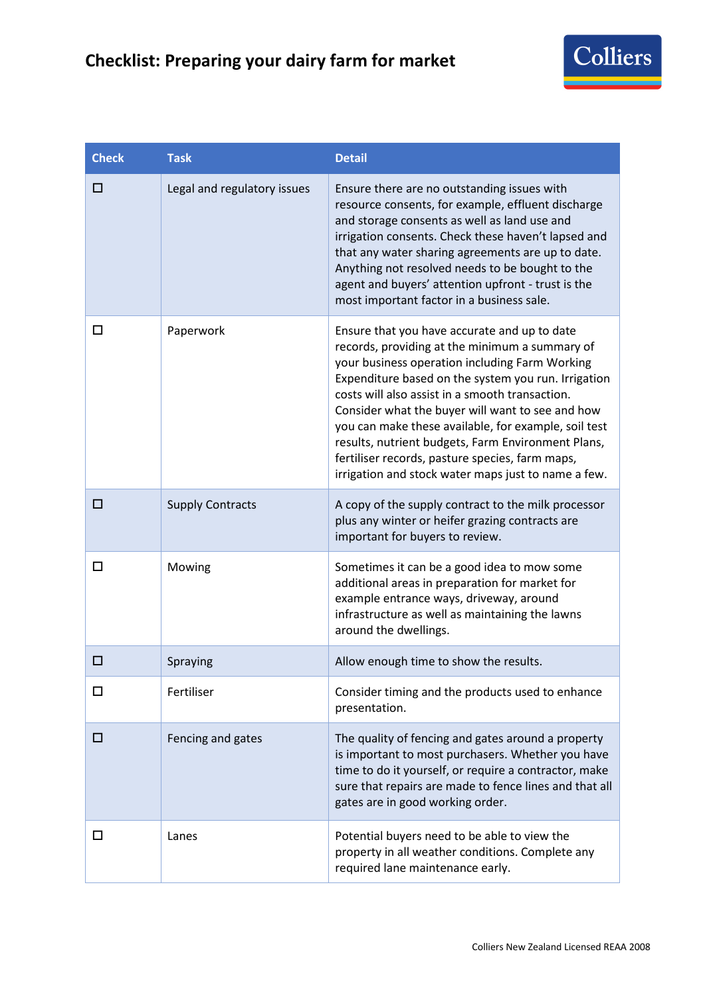## **Checklist: Preparing your dairy farm for market**



| <b>Check</b> | <b>Task</b>                 | <b>Detail</b>                                                                                                                                                                                                                                                                                                                                                                                                                                                                                                                          |
|--------------|-----------------------------|----------------------------------------------------------------------------------------------------------------------------------------------------------------------------------------------------------------------------------------------------------------------------------------------------------------------------------------------------------------------------------------------------------------------------------------------------------------------------------------------------------------------------------------|
| □            | Legal and regulatory issues | Ensure there are no outstanding issues with<br>resource consents, for example, effluent discharge<br>and storage consents as well as land use and<br>irrigation consents. Check these haven't lapsed and<br>that any water sharing agreements are up to date.<br>Anything not resolved needs to be bought to the<br>agent and buyers' attention upfront - trust is the<br>most important factor in a business sale.                                                                                                                    |
| □            | Paperwork                   | Ensure that you have accurate and up to date<br>records, providing at the minimum a summary of<br>your business operation including Farm Working<br>Expenditure based on the system you run. Irrigation<br>costs will also assist in a smooth transaction.<br>Consider what the buyer will want to see and how<br>you can make these available, for example, soil test<br>results, nutrient budgets, Farm Environment Plans,<br>fertiliser records, pasture species, farm maps,<br>irrigation and stock water maps just to name a few. |
| □            | <b>Supply Contracts</b>     | A copy of the supply contract to the milk processor<br>plus any winter or heifer grazing contracts are<br>important for buyers to review.                                                                                                                                                                                                                                                                                                                                                                                              |
| $\Box$       | Mowing                      | Sometimes it can be a good idea to mow some<br>additional areas in preparation for market for<br>example entrance ways, driveway, around<br>infrastructure as well as maintaining the lawns<br>around the dwellings.                                                                                                                                                                                                                                                                                                                   |
| □            | Spraying                    | Allow enough time to show the results.                                                                                                                                                                                                                                                                                                                                                                                                                                                                                                 |
| □            | Fertiliser                  | Consider timing and the products used to enhance<br>presentation.                                                                                                                                                                                                                                                                                                                                                                                                                                                                      |
| □            | Fencing and gates           | The quality of fencing and gates around a property<br>is important to most purchasers. Whether you have<br>time to do it yourself, or require a contractor, make<br>sure that repairs are made to fence lines and that all<br>gates are in good working order.                                                                                                                                                                                                                                                                         |
| □            | Lanes                       | Potential buyers need to be able to view the<br>property in all weather conditions. Complete any<br>required lane maintenance early.                                                                                                                                                                                                                                                                                                                                                                                                   |